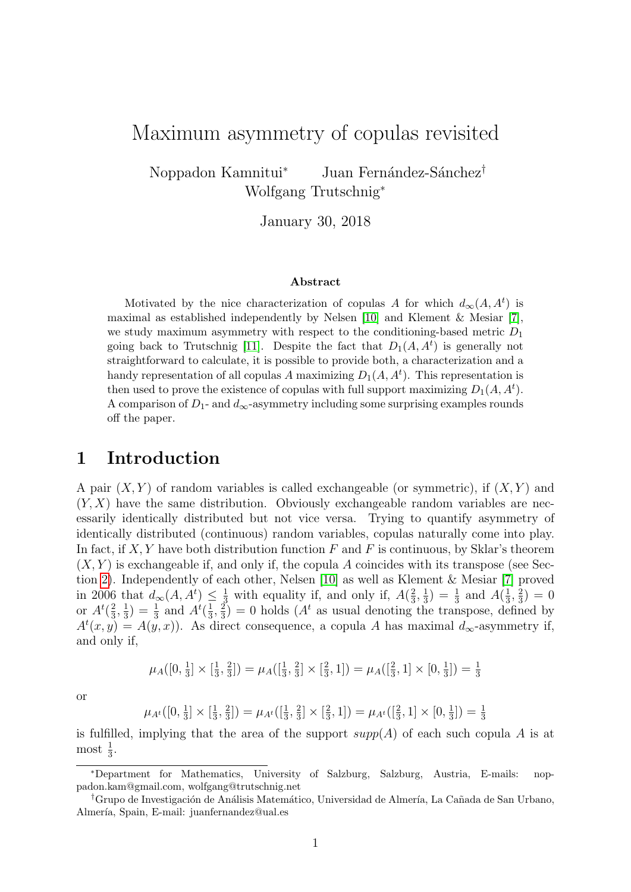# Maximum asymmetry of copulas revisited

Noppadon Kamnitui<sup>∗</sup> Juan Fernández-Sánchez<sup>†</sup> Wolfgang Trutschnig<sup>∗</sup>

January 30, 2018

#### Abstract

Motivated by the nice characterization of copulas A for which  $d_{\infty}(A, A^t)$  is maximal as established independently by Nelsen [\[10\]](#page-16-0) and Klement & Mesiar [\[7\]](#page-16-1), we study maximum asymmetry with respect to the conditioning-based metric  $D_1$ going back to Trutschnig [\[11\]](#page-16-2). Despite the fact that  $D_1(A, A^t)$  is generally not straightforward to calculate, it is possible to provide both, a characterization and a handy representation of all copulas A maximizing  $D_1(A, A^t)$ . This representation is then used to prove the existence of copulas with full support maximizing  $D_1(A, A^t)$ . A comparison of  $D_1$ - and  $d_{\infty}$ -asymmetry including some surprising examples rounds off the paper.

#### 1 Introduction

A pair  $(X, Y)$  of random variables is called exchangeable (or symmetric), if  $(X, Y)$  and  $(Y, X)$  have the same distribution. Obviously exchangeable random variables are necessarily identically distributed but not vice versa. Trying to quantify asymmetry of identically distributed (continuous) random variables, copulas naturally come into play. In fact, if  $X, Y$  have both distribution function  $F$  and  $F$  is continuous, by Sklar's theorem  $(X, Y)$  is exchangeable if, and only if, the copula A coincides with its transpose (see Section [2\)](#page-1-0). Independently of each other, Nelsen [\[10\]](#page-16-0) as well as Klement & Mesiar [\[7\]](#page-16-1) proved in 2006 that  $d_{\infty}(A, A^t) \leq \frac{1}{3}$  with equality if, and only if,  $A(\frac{2}{3})$  $\frac{2}{3}, \frac{1}{3}$  $(\frac{1}{3}) = \frac{1}{3}$  and  $A(\frac{1}{3})$  $\frac{1}{3}, \frac{2}{3}$  $(\frac{2}{3}) = 0$ or  $A^t(\frac{2}{3})$  $\frac{2}{3}, \frac{1}{3}$  $(\frac{1}{3}) = \frac{1}{3}$  and  $A^t(\frac{1}{3})$  $\frac{1}{3}, \frac{2}{3}$  $\left(\frac{2}{3}\right) = 0$  holds  $(A^t$  as usual denoting the transpose, defined by  $A^t(x, y) = A(y, x)$ . As direct consequence, a copula A has maximal  $d_{\infty}$ -asymmetry if, and only if,

$$
\mu_A([0, \frac{1}{3}] \times [\frac{1}{3}, \frac{2}{3}]) = \mu_A([\frac{1}{3}, \frac{2}{3}] \times [\frac{2}{3}, 1]) = \mu_A([\frac{2}{3}, 1] \times [0, \frac{1}{3}]) = \frac{1}{3}
$$

or

$$
\mu_{A^t}([0, \frac{1}{3}]\times[\frac{1}{3}, \frac{2}{3}]) = \mu_{A^t}([\frac{1}{3}, \frac{2}{3}]\times[\frac{2}{3}, 1]) = \mu_{A^t}([\frac{2}{3}, 1]\times[0, \frac{1}{3}]) = \frac{1}{3}
$$

is fulfilled, implying that the area of the support  $supp(A)$  of each such copula A is at most  $\frac{1}{3}$ .

<sup>∗</sup>Department for Mathematics, University of Salzburg, Salzburg, Austria, E-mails: noppadon.kam@gmail.com, wolfgang@trutschnig.net

<sup>&</sup>lt;sup>†</sup>Grupo de Investigación de Análisis Matemático, Universidad de Almería, La Cañada de San Urbano, Almería, Spain, E-mail: juanfernandez@ual.es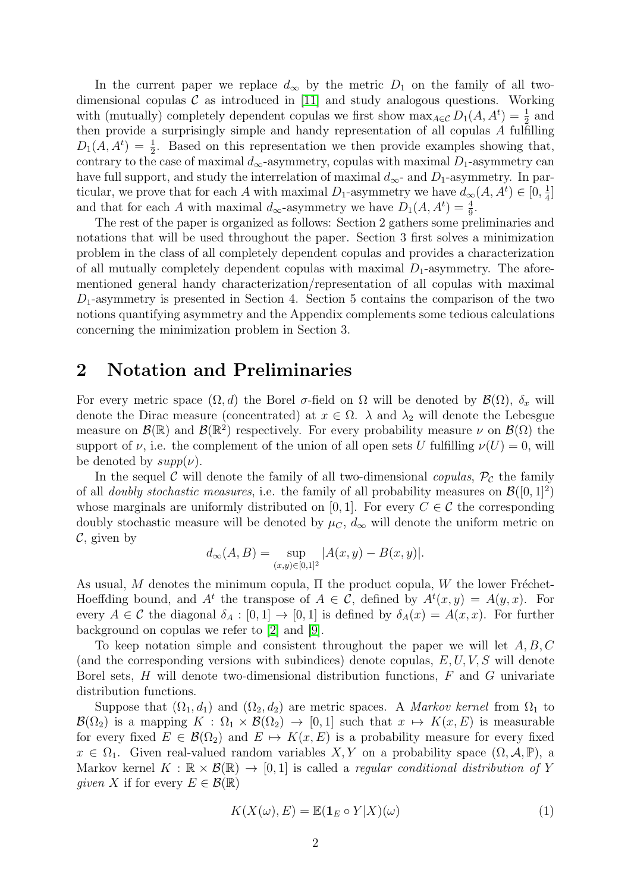In the current paper we replace  $d_{\infty}$  by the metric  $D_1$  on the family of all twodimensional copulas  $\mathcal C$  as introduced in [\[11\]](#page-16-2) and study analogous questions. Working with (mutually) completely dependent copulas we first show  $\max_{A \in \mathcal{C}} D_1(A, A^t) = \frac{1}{2}$  and then provide a surprisingly simple and handy representation of all copulas A fulfilling  $D_1(A, A^t) = \frac{1}{2}$ . Based on this representation we then provide examples showing that, contrary to the case of maximal  $d_{\infty}$ -asymmetry, copulas with maximal  $D_1$ -asymmetry can have full support, and study the interrelation of maximal  $d_{\infty}$ - and  $D_1$ -asymmetry. In particular, we prove that for each A with maximal  $D_1$ -asymmetry we have  $d_{\infty}(A, A^t) \in [0, \frac{1}{4}]$  $\frac{1}{4}$ ] and that for each A with maximal  $d_{\infty}$ -asymmetry we have  $D_1(A, A^t) = \frac{4}{9}$ .

The rest of the paper is organized as follows: Section 2 gathers some preliminaries and notations that will be used throughout the paper. Section 3 first solves a minimization problem in the class of all completely dependent copulas and provides a characterization of all mutually completely dependent copulas with maximal  $D_1$ -asymmetry. The aforementioned general handy characterization/representation of all copulas with maximal  $D_1$ -asymmetry is presented in Section 4. Section 5 contains the comparison of the two notions quantifying asymmetry and the Appendix complements some tedious calculations concerning the minimization problem in Section 3.

### <span id="page-1-0"></span>2 Notation and Preliminaries

For every metric space  $(\Omega, d)$  the Borel  $\sigma$ -field on  $\Omega$  will be denoted by  $\mathcal{B}(\Omega)$ ,  $\delta_x$  will denote the Dirac measure (concentrated) at  $x \in \Omega$ .  $\lambda$  and  $\lambda_2$  will denote the Lebesgue measure on  $\mathcal{B}(\mathbb{R})$  and  $\mathcal{B}(\mathbb{R}^2)$  respectively. For every probability measure  $\nu$  on  $\mathcal{B}(\Omega)$  the support of  $\nu$ , i.e. the complement of the union of all open sets U fulfilling  $\nu(U) = 0$ , will be denoted by  $supp(\nu)$ .

In the sequel C will denote the family of all two-dimensional *copulas*,  $\mathcal{P}_c$  the family of all *doubly stochastic measures*, i.e. the family of all probability measures on  $\mathcal{B}([0,1]^2)$ whose marginals are uniformly distributed on [0, 1]. For every  $C \in \mathcal{C}$  the corresponding doubly stochastic measure will be denoted by  $\mu_C$ ,  $d_{\infty}$  will denote the uniform metric on  $\mathcal{C}$ , given by

$$
d_{\infty}(A, B) = \sup_{(x,y) \in [0,1]^2} |A(x,y) - B(x,y)|.
$$

As usual, M denotes the minimum copula,  $\Pi$  the product copula, W the lower Fréchet-Hoeffding bound, and  $A^t$  the transpose of  $A \in \mathcal{C}$ , defined by  $A^t(x, y) = A(y, x)$ . For every  $A \in \mathcal{C}$  the diagonal  $\delta_A : [0,1] \to [0,1]$  is defined by  $\delta_A(x) = A(x,x)$ . For further background on copulas we refer to [\[2\]](#page-16-3) and [\[9\]](#page-16-4).

To keep notation simple and consistent throughout the paper we will let  $A, B, C$ (and the corresponding versions with subindices) denote copulas,  $E, U, V, S$  will denote Borel sets,  $H$  will denote two-dimensional distribution functions,  $F$  and  $G$  univariate distribution functions.

Suppose that  $(\Omega_1, d_1)$  and  $(\Omega_2, d_2)$  are metric spaces. A *Markov kernel* from  $\Omega_1$  to  $\mathcal{B}(\Omega_2)$  is a mapping  $K : \Omega_1 \times \mathcal{B}(\Omega_2) \to [0,1]$  such that  $x \mapsto K(x, E)$  is measurable for every fixed  $E \in \mathcal{B}(\Omega_2)$  and  $E \mapsto K(x, E)$  is a probability measure for every fixed  $x \in \Omega_1$ . Given real-valued random variables  $X, Y$  on a probability space  $(\Omega, \mathcal{A}, \mathbb{P})$ , a Markov kernel  $K : \mathbb{R} \times \mathcal{B}(\mathbb{R}) \to [0,1]$  is called a *regular conditional distribution of* Y qiven X if for every  $E \in \mathcal{B}(\mathbb{R})$ 

$$
K(X(\omega), E) = \mathbb{E}(\mathbf{1}_E \circ Y | X)(\omega)
$$
\n(1)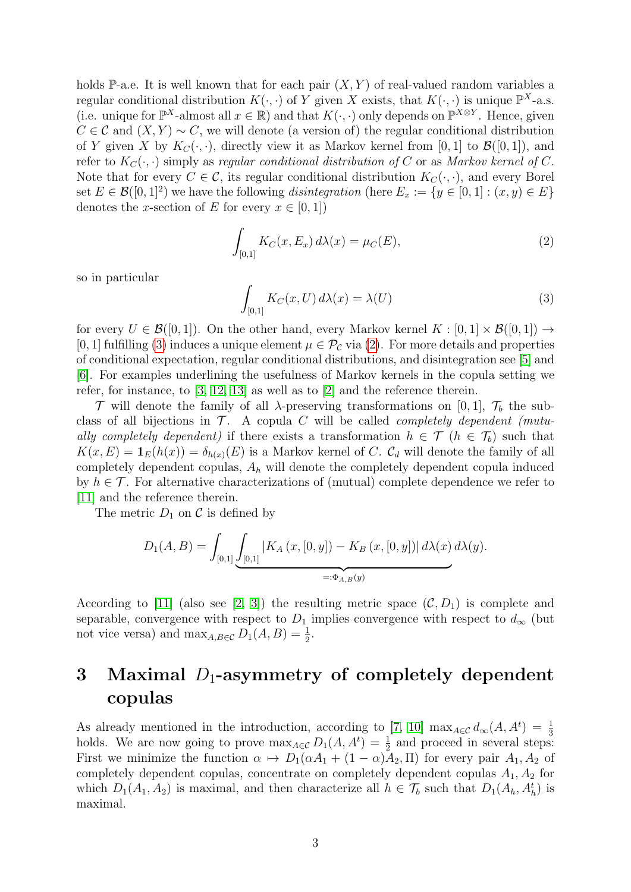holds P-a.e. It is well known that for each pair  $(X, Y)$  of real-valued random variables a regular conditional distribution  $K(\cdot, \cdot)$  of Y given X exists, that  $K(\cdot, \cdot)$  is unique  $\mathbb{P}^{X}$ -a.s. (i.e. unique for  $\mathbb{P}^{X}$ -almost all  $x \in \mathbb{R}$ ) and that  $K(\cdot, \cdot)$  only depends on  $\mathbb{P}^{X \otimes Y}$ . Hence, given  $C \in \mathcal{C}$  and  $(X, Y) \sim C$ , we will denote (a version of) the regular conditional distribution of Y given X by  $K_C(\cdot, \cdot)$ , directly view it as Markov kernel from [0, 1] to  $\mathcal{B}([0, 1])$ , and refer to  $K_C(\cdot, \cdot)$  simply as regular conditional distribution of C or as Markov kernel of C. Note that for every  $C \in \mathcal{C}$ , its regular conditional distribution  $K_C(\cdot, \cdot)$ , and every Borel set  $E \in \mathcal{B}([0,1]^2)$  we have the following *disintegration* (here  $E_x := \{y \in [0,1] : (x,y) \in E\}$ denotes the x-section of E for every  $x \in [0, 1]$ 

<span id="page-2-1"></span>
$$
\int_{[0,1]} K_C(x, E_x) \, d\lambda(x) = \mu_C(E),\tag{2}
$$

so in particular

<span id="page-2-0"></span>
$$
\int_{[0,1]} K_C(x, U) d\lambda(x) = \lambda(U)
$$
\n(3)

for every  $U \in \mathcal{B}([0,1])$ . On the other hand, every Markov kernel  $K : [0,1] \times \mathcal{B}([0,1]) \rightarrow$ [0, 1] fulfilling [\(3\)](#page-2-0) induces a unique element  $\mu \in \mathcal{P}_{\mathcal{C}}$  via [\(2\)](#page-2-1). For more details and properties of conditional expectation, regular conditional distributions, and disintegration see [\[5\]](#page-16-5) and [\[6\]](#page-16-6). For examples underlining the usefulness of Markov kernels in the copula setting we refer, for instance, to [\[3,](#page-16-7) [12,](#page-16-8) [13\]](#page-16-9) as well as to [\[2\]](#page-16-3) and the reference therein.

 $\mathcal T$  will denote the family of all  $\lambda$ -preserving transformations on [0, 1],  $\mathcal T_b$  the subclass of all bijections in  $\mathcal{T}$ . A copula C will be called *completely dependent* (mutually completely dependent) if there exists a transformation  $h \in \mathcal{T}$  ( $h \in \mathcal{T}_b$ ) such that  $K(x, E) = \mathbf{1}_E(h(x)) = \delta_{h(x)}(E)$  is a Markov kernel of C.  $\mathcal{C}_d$  will denote the family of all completely dependent copulas,  $A_h$  will denote the completely dependent copula induced by  $h \in \mathcal{T}$ . For alternative characterizations of (mutual) complete dependence we refer to [\[11\]](#page-16-2) and the reference therein.

The metric  $D_1$  on C is defined by

$$
D_1(A, B) = \int_{[0,1]} \underbrace{\int_{[0,1]} |K_A(x, [0, y]) - K_B(x, [0, y])| d\lambda(x) d\lambda(y)}_{=: \Phi_{A, B}(y)}.
$$

According to [\[11\]](#page-16-2) (also see [\[2,](#page-16-3) [3\]](#page-16-7)) the resulting metric space  $(C, D_1)$  is complete and separable, convergence with respect to  $D_1$  implies convergence with respect to  $d_{\infty}$  (but not vice versa) and  $\max_{A,B\in\mathcal{C}} D_1(A,B) = \frac{1}{2}$ .

# 3 Maximal  $D_1$ -asymmetry of completely dependent copulas

As already mentioned in the introduction, according to [\[7,](#page-16-1) [10\]](#page-16-0)  $\max_{A \in \mathcal{C}} d_{\infty}(A, A^t) = \frac{1}{3}$ holds. We are now going to prove  $\max_{A \in \mathcal{C}} D_1(A, A^t) = \frac{1}{2}$  and proceed in several steps: First we minimize the function  $\alpha \mapsto D_1(\alpha A_1 + (1 - \alpha)A_2, \Pi)$  for every pair  $A_1, A_2$  of completely dependent copulas, concentrate on completely dependent copulas  $A_1, A_2$  for which  $D_1(A_1, A_2)$  is maximal, and then characterize all  $h \in \mathcal{T}_b$  such that  $D_1(A_h, A_h^t)$  is maximal.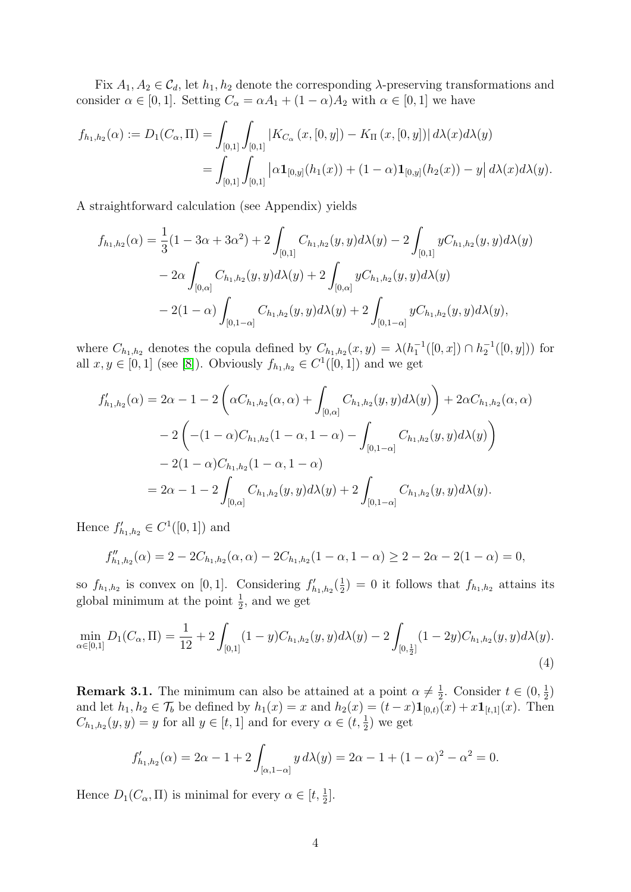Fix  $A_1, A_2 \in \mathcal{C}_d$ , let  $h_1, h_2$  denote the corresponding  $\lambda$ -preserving transformations and consider  $\alpha \in [0, 1]$ . Setting  $C_{\alpha} = \alpha A_1 + (1 - \alpha) A_2$  with  $\alpha \in [0, 1]$  we have

$$
f_{h_1,h_2}(\alpha) := D_1(C_{\alpha}, \Pi) = \int_{[0,1]} \int_{[0,1]} |K_{C_{\alpha}}(x,[0,y]) - K_{\Pi}(x,[0,y])| d\lambda(x) d\lambda(y)
$$
  
= 
$$
\int_{[0,1]} \int_{[0,1]} |\alpha \mathbf{1}_{[0,y]}(h_1(x)) + (1-\alpha) \mathbf{1}_{[0,y]}(h_2(x)) - y| d\lambda(x) d\lambda(y).
$$

A straightforward calculation (see Appendix) yields

$$
f_{h_1,h_2}(\alpha) = \frac{1}{3}(1 - 3\alpha + 3\alpha^2) + 2 \int_{[0,1]} C_{h_1,h_2}(y,y) d\lambda(y) - 2 \int_{[0,1]} y C_{h_1,h_2}(y,y) d\lambda(y)
$$
  
- 2\alpha \int\_{[0,\alpha]} C\_{h\_1,h\_2}(y,y) d\lambda(y) + 2 \int\_{[0,\alpha]} y C\_{h\_1,h\_2}(y,y) d\lambda(y)  
- 2(1 - \alpha) \int\_{[0,1-\alpha]} C\_{h\_1,h\_2}(y,y) d\lambda(y) + 2 \int\_{[0,1-\alpha]} y C\_{h\_1,h\_2}(y,y) d\lambda(y),

where  $C_{h_1,h_2}$  denotes the copula defined by  $C_{h_1,h_2}(x,y) = \lambda(h_1^{-1}([0,x]) \cap h_2^{-1}([0,y]))$  for all  $x, y \in [0, 1]$  (see [\[8\]](#page-16-10)). Obviously  $f_{h_1, h_2} \in C^1([0, 1])$  and we get

$$
f'_{h_1,h_2}(\alpha) = 2\alpha - 1 - 2\left(\alpha C_{h_1,h_2}(\alpha,\alpha) + \int_{[0,\alpha]} C_{h_1,h_2}(y,y)d\lambda(y)\right) + 2\alpha C_{h_1,h_2}(\alpha,\alpha)
$$
  

$$
- 2\left(-(1-\alpha)C_{h_1,h_2}(1-\alpha,1-\alpha) - \int_{[0,1-\alpha]} C_{h_1,h_2}(y,y)d\lambda(y)\right)
$$
  

$$
- 2(1-\alpha)C_{h_1,h_2}(1-\alpha,1-\alpha)
$$
  

$$
= 2\alpha - 1 - 2\int_{[0,\alpha]} C_{h_1,h_2}(y,y)d\lambda(y) + 2\int_{[0,1-\alpha]} C_{h_1,h_2}(y,y)d\lambda(y).
$$

Hence  $f'_{h_1,h_2} \in C^1([0,1])$  and

$$
f''_{h_1,h_2}(\alpha) = 2 - 2C_{h_1,h_2}(\alpha,\alpha) - 2C_{h_1,h_2}(1-\alpha,1-\alpha) \ge 2 - 2\alpha - 2(1-\alpha) = 0,
$$

so  $f_{h_1,h_2}$  is convex on [0, 1]. Considering  $f'_{h_1,h_2}(\frac{1}{2})$  $(\frac{1}{2}) = 0$  it follows that  $f_{h_1,h_2}$  attains its global minimum at the point  $\frac{1}{2}$ , and we get

$$
\min_{\alpha \in [0,1]} D_1(C_\alpha, \Pi) = \frac{1}{12} + 2 \int_{[0,1]} (1-y) C_{h_1,h_2}(y,y) d\lambda(y) - 2 \int_{[0,\frac{1}{2}]} (1-2y) C_{h_1,h_2}(y,y) d\lambda(y).
$$
\n(4)

**Remark 3.1.** The minimum can also be attained at a point  $\alpha \neq \frac{1}{2}$  $\frac{1}{2}$ . Consider  $t \in (0, \frac{1}{2})$  $\frac{1}{2}$ and let  $h_1, h_2 \in \mathcal{T}_b$  be defined by  $h_1(x) = x$  and  $h_2(x) = (t-x)\mathbf{1}_{[0,t)}(x) + x\mathbf{1}_{[t,1]}(x)$ . Then  $C_{h_1,h_2}(y, y) = y$  for all  $y \in [t, 1]$  and for every  $\alpha \in (t, \frac{1}{2})$  we get

$$
f'_{h_1,h_2}(\alpha) = 2\alpha - 1 + 2 \int_{[\alpha,1-\alpha]} y \, d\lambda(y) = 2\alpha - 1 + (1-\alpha)^2 - \alpha^2 = 0.
$$

Hence  $D_1(C_\alpha, \Pi)$  is minimal for every  $\alpha \in [t, \frac{1}{2}]$ .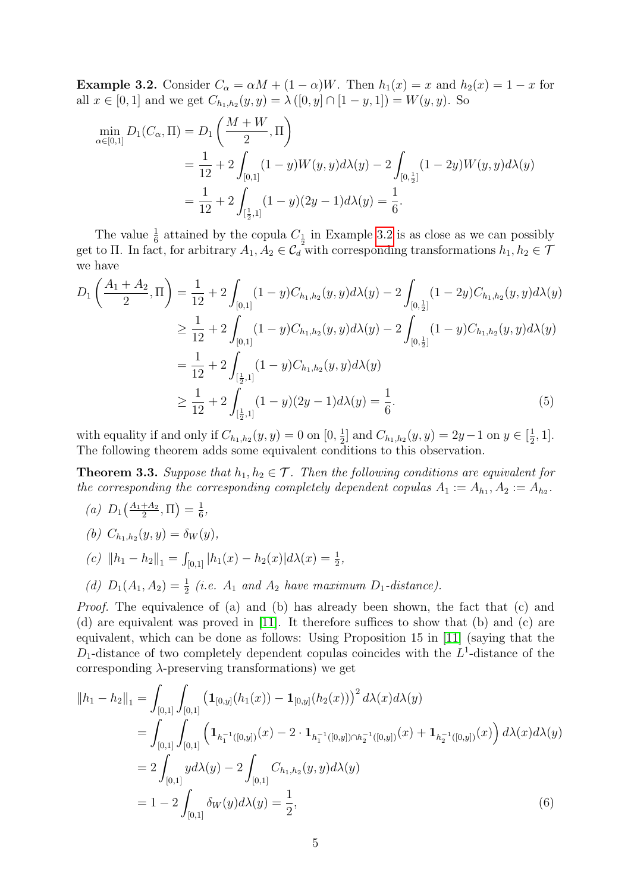<span id="page-4-0"></span>**Example 3.2.** Consider  $C_{\alpha} = \alpha M + (1 - \alpha)W$ . Then  $h_1(x) = x$  and  $h_2(x) = 1 - x$  for all  $x \in [0,1]$  and we get  $C_{h_1,h_2}(y,y) = \lambda ([0,y] \cap [1-y,1]) = W(y,y)$ . So

$$
\min_{\alpha \in [0,1]} D_1(C_\alpha, \Pi) = D_1\left(\frac{M+W}{2}, \Pi\right)
$$
  
=  $\frac{1}{12} + 2 \int_{[0,1]} (1-y)W(y,y)d\lambda(y) - 2 \int_{[0,\frac{1}{2}]} (1-2y)W(y,y)d\lambda(y)$   
=  $\frac{1}{12} + 2 \int_{[\frac{1}{2},1]} (1-y)(2y-1)d\lambda(y) = \frac{1}{6}.$ 

The value  $\frac{1}{6}$  attained by the copula  $C_{\frac{1}{2}}$  in Example [3.2](#page-4-0) is as close as we can possibly get to Π. In fact, for arbitrary  $A_1, A_2 \in C_d^2$  with corresponding transformations  $h_1, h_2 \in \mathcal{T}$ we have

$$
D_{1}\left(\frac{A_{1}+A_{2}}{2},\Pi\right) = \frac{1}{12} + 2 \int_{[0,1]} (1-y)C_{h_{1},h_{2}}(y,y)d\lambda(y) - 2 \int_{[0,\frac{1}{2}]} (1-2y)C_{h_{1},h_{2}}(y,y)d\lambda(y)
$$
  
\n
$$
\geq \frac{1}{12} + 2 \int_{[0,1]} (1-y)C_{h_{1},h_{2}}(y,y)d\lambda(y) - 2 \int_{[0,\frac{1}{2}]} (1-y)C_{h_{1},h_{2}}(y,y)d\lambda(y)
$$
  
\n
$$
= \frac{1}{12} + 2 \int_{[\frac{1}{2},1]} (1-y)C_{h_{1},h_{2}}(y,y)d\lambda(y)
$$
  
\n
$$
\geq \frac{1}{12} + 2 \int_{[\frac{1}{2},1]} (1-y)(2y-1)d\lambda(y) = \frac{1}{6}.
$$
 (5)

with equality if and only if  $C_{h_1,h_2}(y, y) = 0$  on  $[0, \frac{1}{2}]$  $\frac{1}{2}$  and  $C_{h_1,h_2}(y, y) = 2y - 1$  on  $y \in [\frac{1}{2}]$  $\frac{1}{2}, 1].$ The following theorem adds some equivalent conditions to this observation.

<span id="page-4-1"></span>**Theorem 3.3.** Suppose that  $h_1, h_2 \in \mathcal{T}$ . Then the following conditions are equivalent for the corresponding the corresponding completely dependent copulas  $A_1 := A_{h_1}, A_2 := A_{h_2}.$ 

- (a)  $D_1\left(\frac{A_1+A_2}{2}\right)$  $\frac{+A_2}{2},\Pi\bigr)=\frac{1}{6}$  $\frac{1}{6}$ ,
- (b)  $C_{h_1,h_2}(y, y) = \delta_W(y),$
- (c)  $||h_1 h_2||_1 = \int_{[0,1]} |h_1(x) h_2(x)| d\lambda(x) = \frac{1}{2},$
- (d)  $D_1(A_1, A_2) = \frac{1}{2}$  (i.e.  $A_1$  and  $A_2$  have maximum  $D_1$ -distance).

Proof. The equivalence of (a) and (b) has already been shown, the fact that (c) and (d) are equivalent was proved in [\[11\]](#page-16-2). It therefore suffices to show that (b) and (c) are equivalent, which can be done as follows: Using Proposition 15 in [\[11\]](#page-16-2) (saying that the  $D_1$ -distance of two completely dependent copulas coincides with the  $L^1$ -distance of the corresponding  $\lambda$ -preserving transformations) we get

$$
||h_1 - h_2||_1 = \int_{[0,1]} \int_{[0,1]} \left( \mathbf{1}_{[0,y]}(h_1(x)) - \mathbf{1}_{[0,y]}(h_2(x)) \right)^2 d\lambda(x) d\lambda(y)
$$
  
\n
$$
= \int_{[0,1]} \int_{[0,1]} \left( \mathbf{1}_{h_1^{-1}([0,y])}(x) - 2 \cdot \mathbf{1}_{h_1^{-1}([0,y]) \cap h_2^{-1}([0,y])}(x) + \mathbf{1}_{h_2^{-1}([0,y])}(x) \right) d\lambda(x) d\lambda(y)
$$
  
\n
$$
= 2 \int_{[0,1]} y d\lambda(y) - 2 \int_{[0,1]} C_{h_1,h_2}(y,y) d\lambda(y)
$$
  
\n
$$
= 1 - 2 \int_{[0,1]} \delta_W(y) d\lambda(y) = \frac{1}{2}, \tag{6}
$$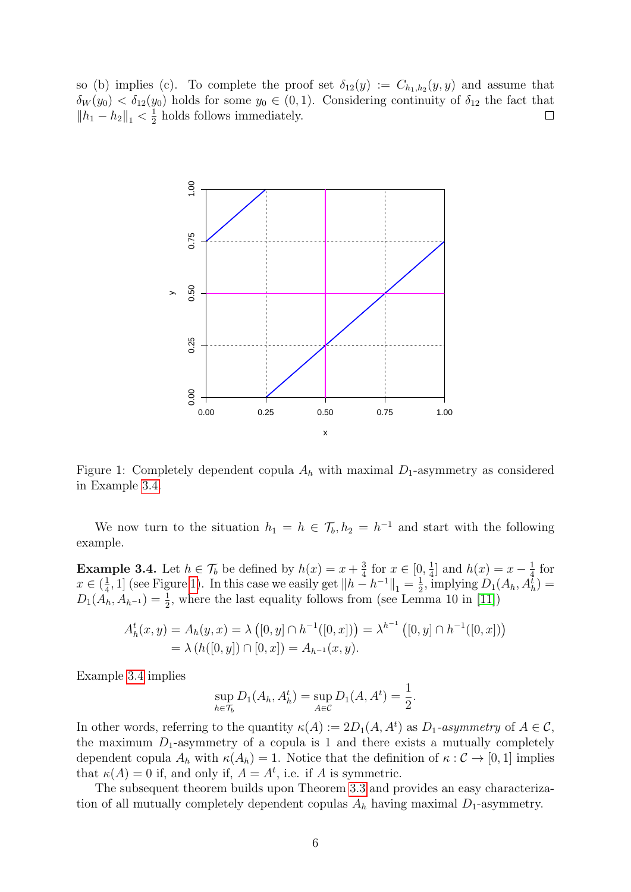so (b) implies (c). To complete the proof set  $\delta_{12}(y) := C_{h_1,h_2}(y,y)$  and assume that  $\delta_W(y_0) < \delta_{12}(y_0)$  holds for some  $y_0 \in (0,1)$ . Considering continuity of  $\delta_{12}$  the fact that  $||h_1 - h_2||_1 < \frac{1}{2}$  $\frac{1}{2}$  holds follows immediately.  $\Box$ 



<span id="page-5-1"></span>Figure 1: Completely dependent copula  $A_h$  with maximal  $D_1$ -asymmetry as considered in Example [3.4.](#page-5-0)

We now turn to the situation  $h_1 = h \in \mathcal{T}_b$ ,  $h_2 = h^{-1}$  and start with the following example.

<span id="page-5-0"></span>**Example 3.4.** Let  $h \in \mathcal{T}_b$  be defined by  $h(x) = x + \frac{3}{4}$  $\frac{3}{4}$  for  $x \in [0, \frac{1}{4}]$  $\frac{1}{4}$  and  $h(x) = x - \frac{1}{4}$  $rac{1}{4}$  for  $x \in (\frac{1}{4})$  $\frac{1}{4}$ , 1] (see Figure [1\)](#page-5-1). In this case we easily get  $||h - h^{-1}||_1 = \frac{1}{2}$  $\frac{1}{2}$ , implying  $D_1(A_h, A_h^{\overline{t}})$  =  $D_1(A_h, A_{h^{-1}}) = \frac{1}{2}$ , where the last equality follows from (see Lemma 10 in [\[11\]](#page-16-2))

$$
A_h^t(x, y) = A_h(y, x) = \lambda ([0, y] \cap h^{-1}([0, x])) = \lambda^{h^{-1}} ([0, y] \cap h^{-1}([0, x]))
$$
  
=  $\lambda (h([0, y]) \cap [0, x]) = A_{h^{-1}}(x, y).$ 

Example [3.4](#page-5-0) implies

$$
\sup_{h \in \mathcal{T}_b} D_1(A_h, A_h^t) = \sup_{A \in \mathcal{C}} D_1(A, A^t) = \frac{1}{2}.
$$

In other words, referring to the quantity  $\kappa(A) := 2D_1(A, A^t)$  as  $D_1$ -asymmetry of  $A \in \mathcal{C}$ , the maximum  $D_1$ -asymmetry of a copula is 1 and there exists a mutually completely dependent copula  $A_h$  with  $\kappa(A_h) = 1$ . Notice that the definition of  $\kappa : \mathcal{C} \to [0, 1]$  implies that  $\kappa(A) = 0$  if, and only if,  $A = A^t$ , i.e. if A is symmetric.

The subsequent theorem builds upon Theorem [3.3](#page-4-1) and provides an easy characterization of all mutually completely dependent copulas  $A_h$  having maximal  $D_1$ -asymmetry.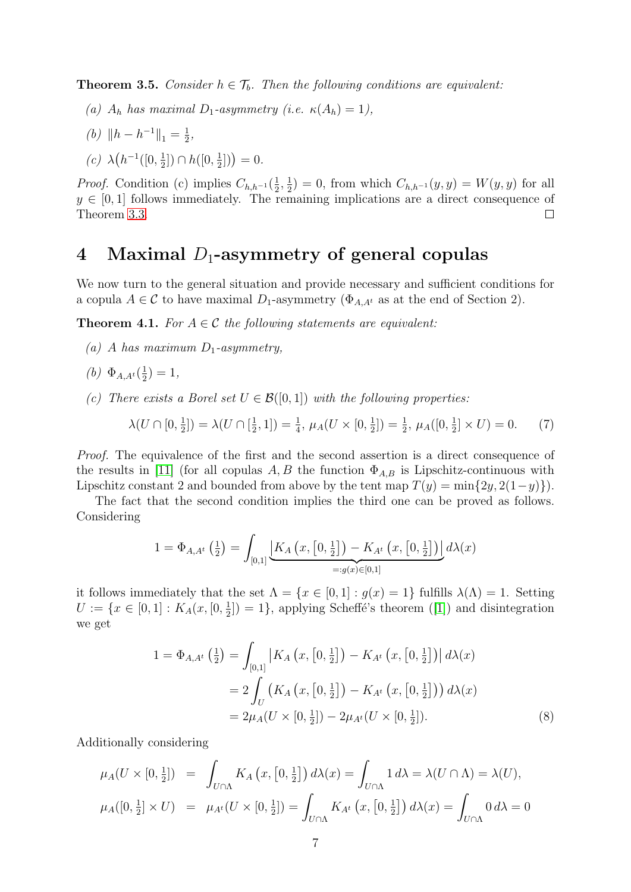**Theorem 3.5.** Consider  $h \in \mathcal{T}_b$ . Then the following conditions are equivalent:

- (a)  $A_h$  has maximal  $D_1$ -asymmetry (i.e.  $\kappa(A_h) = 1$ ),
- (b)  $||h h^{-1}||_1 = \frac{1}{2}$  $\frac{1}{2}$ ,
- (c)  $\lambda (h^{-1}([0, \frac{1}{2}$  $\frac{1}{2}$ ])  $\cap h([0, \frac{1}{2}$  $\frac{1}{2}$ ]) = 0.

*Proof.* Condition (c) implies  $C_{h,h^{-1}}(\frac{1}{2})$  $\frac{1}{2}, \frac{1}{2}$  $(\frac{1}{2}) = 0$ , from which  $C_{h,h^{-1}}(y, y) = W(y, y)$  for all  $y \in [0,1]$  follows immediately. The remaining implications are a direct consequence of Theorem [3.3.](#page-4-1)  $\Box$ 

### 4 Maximal  $D_1$ -asymmetry of general copulas

We now turn to the general situation and provide necessary and sufficient conditions for a copula  $A \in \mathcal{C}$  to have maximal  $D_1$ -asymmetry ( $\Phi_{A,A}$  as at the end of Section 2).

<span id="page-6-1"></span>**Theorem 4.1.** For  $A \in \mathcal{C}$  the following statements are equivalent:

- (a) A has maximum  $D_1$ -asymmetry,
- (b)  $\Phi_{A,A^t}(\frac{1}{2})$  $(\frac{1}{2})=1,$
- (c) There exists a Borel set  $U \in \mathcal{B}([0,1])$  with the following properties:

<span id="page-6-0"></span>
$$
\lambda(U \cap [0, \frac{1}{2}]) = \lambda(U \cap [\frac{1}{2}, 1]) = \frac{1}{4}, \ \mu_A(U \times [0, \frac{1}{2}]) = \frac{1}{2}, \ \mu_A([0, \frac{1}{2}] \times U) = 0. \tag{7}
$$

Proof. The equivalence of the first and the second assertion is a direct consequence of the results in [\[11\]](#page-16-2) (for all copulas A, B the function  $\Phi_{A,B}$  is Lipschitz-continuous with Lipschitz constant 2 and bounded from above by the tent map  $T(y) = \min\{2y, 2(1-y)\}\.$ 

The fact that the second condition implies the third one can be proved as follows. Considering

$$
1 = \Phi_{A,A^t}\left(\frac{1}{2}\right) = \int_{[0,1]} \underbrace{\left[K_A\left(x, \left[0, \frac{1}{2}\right]\right) - K_{A^t}\left(x, \left[0, \frac{1}{2}\right]\right)\right]}_{=:g(x) \in [0,1]} d\lambda(x)
$$

it follows immediately that the set  $\Lambda = \{x \in [0,1] : g(x) = 1\}$  fulfills  $\lambda(\Lambda) = 1$ . Setting  $U := \{x \in [0,1]: K_A(x,[0,\frac{1}{2}$  $\left(\frac{1}{2}\right)$  = 1, applying Scheffé's theorem ([\[1\]](#page-16-11)) and disintegration we get

$$
1 = \Phi_{A,A^t} \left( \frac{1}{2} \right) = \int_{[0,1]} \left| K_A \left( x, \left[ 0, \frac{1}{2} \right] \right) - K_{A^t} \left( x, \left[ 0, \frac{1}{2} \right] \right) \right| d\lambda(x)
$$
  

$$
= 2 \int_U \left( K_A \left( x, \left[ 0, \frac{1}{2} \right] \right) - K_{A^t} \left( x, \left[ 0, \frac{1}{2} \right] \right) \right) d\lambda(x)
$$
  

$$
= 2 \mu_A (U \times [0, \frac{1}{2}]) - 2 \mu_{A^t} (U \times [0, \frac{1}{2}]). \tag{8}
$$

Additionally considering

$$
\mu_A(U \times [0, \frac{1}{2}]) = \int_{U \cap \Lambda} K_A(x, [0, \frac{1}{2}]) d\lambda(x) = \int_{U \cap \Lambda} 1 d\lambda = \lambda(U \cap \Lambda) = \lambda(U),
$$
  

$$
\mu_A([0, \frac{1}{2}] \times U) = \mu_{A^t}(U \times [0, \frac{1}{2}]) = \int_{U \cap \Lambda} K_{A^t}(x, [0, \frac{1}{2}]) d\lambda(x) = \int_{U \cap \Lambda} 0 d\lambda = 0
$$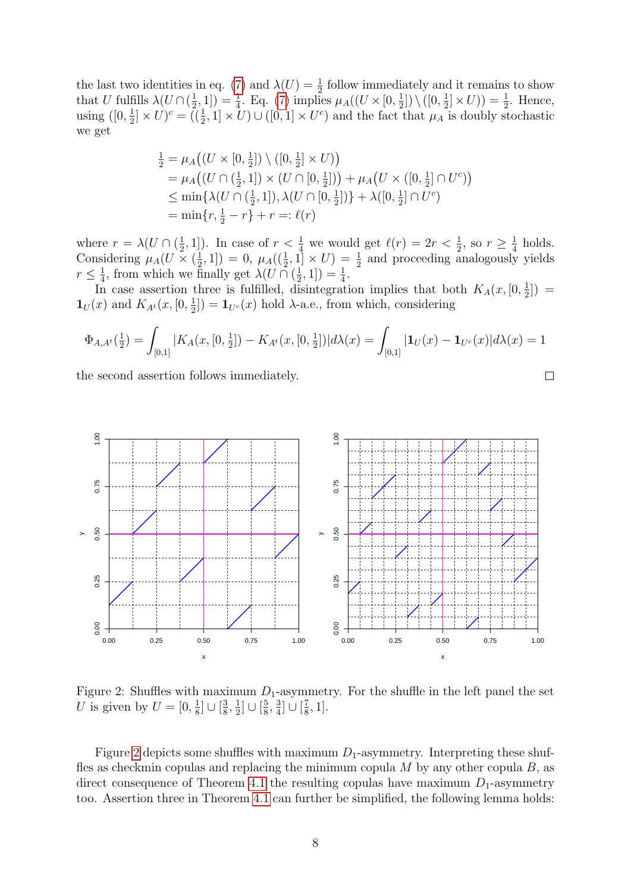the last two identities in eq. [\(7\)](#page-6-0) and  $\lambda(U) = \frac{1}{2}$  follow immediately and it remains to show that U fulfills  $\lambda(U \cap (\frac{1}{2}))$  $(\frac{1}{2}, 1]) = \frac{1}{4}$ . Eq. [\(7\)](#page-6-0) implies  $\mu_A((U \times [0, \frac{1}{2}$  $\frac{1}{2}$ ]) \ ([0,  $\frac{1}{2}$  $(\frac{1}{2}]\times U$ ) =  $\frac{1}{2}$ . Hence, using  $([0, \frac{1}{2}$  $\frac{1}{2} \times U$ <sup>c</sup> =  $(\frac{1}{2}, 1] \times U$   $\cup$   $([0, 1] \times U^c)$  and the fact that  $\mu_A$  is doubly stochastic we get

$$
\frac{1}{2} = \mu_A((U \times [0, \frac{1}{2}]) \setminus ([0, \frac{1}{2}] \times U))
$$
\n
$$
= \mu_A((U \cap (\frac{1}{2}, 1]) \times (U \cap [0, \frac{1}{2}])) + \mu_A(U \times ([0, \frac{1}{2}] \cap U^c))
$$
\n
$$
\leq \min\{\lambda(U \cap (\frac{1}{2}, 1]), \lambda(U \cap [0, \frac{1}{2}])\} + \lambda([0, \frac{1}{2}] \cap U^c)
$$
\n
$$
= \min\{r, \frac{1}{2} - r\} + r =: \ell(r)
$$

where  $r = \lambda(U \cap (\frac{1}{2})$  $(\frac{1}{2}, 1]$ ). In case of  $r < \frac{1}{4}$  we would get  $\ell(r) = 2r < \frac{1}{2}$ , so  $r \geq \frac{1}{4}$  $rac{1}{4}$  holds. Considering  $\mu_A(U \times (\frac{1}{2}))$  $(\frac{1}{2}, 1]) = 0$ ,  $\mu_A((\frac{1}{2}, 1] \times U) = \frac{1}{2}$  and proceeding analogously yields  $r \leq \frac{1}{4}$  $\frac{1}{4}$ , from which we finally get  $\lambda(U \cap (\frac{1}{2})$  $(\frac{1}{2}, 1]) = \frac{1}{4}.$ 

In case assertion three is fulfilled, disintegration implies that both  $K_A(x, [0, \frac{1}{2}$  $(\frac{1}{2})$  =  $\mathbf{1}_U(x)$  and  $K_{A^t}(x,[0,\frac{1}{2}$  $\left(\frac{1}{2}\right]$  =  $\mathbf{1}_{U^c}(x)$  hold  $\lambda$ -a.e., from which, considering

$$
\Phi_{A,A^t}(\frac{1}{2}) = \int_{[0,1]} |K_A(x,[0,\frac{1}{2}]) - K_{A^t}(x,[0,\frac{1}{2}])| d\lambda(x) = \int_{[0,1]} |\mathbf{1}_U(x) - \mathbf{1}_{U^c}(x)| d\lambda(x) = 1
$$

the second assertion follows immediately.



<span id="page-7-0"></span>Figure 2: Shuffles with maximum  $D_1$ -asymmetry. For the shuffle in the left panel the set U is given by  $U = [0, \frac{1}{8}]$  $\frac{1}{8}$ ] ∪  $\left[\frac{3}{8}\right]$  $\frac{3}{8}, \frac{1}{2}$  $\frac{1}{2}$ ]  $\cup$   $\left[\frac{5}{8}\right]$  $\frac{5}{8}, \frac{3}{4}$  $\frac{3}{4}$ ] ∪  $\left[\frac{7}{8}\right]$  $\frac{7}{8}, 1].$ 

Figure [2](#page-7-0) depicts some shuffles with maximum  $D_1$ -asymmetry. Interpreting these shuffles as checkmin copulas and replacing the minimum copula  $M$  by any other copula  $B$ , as direct consequence of Theorem [4.1](#page-6-1) the resulting copulas have maximum  $D_1$ -asymmetry too. Assertion three in Theorem [4.1](#page-6-1) can further be simplified, the following lemma holds:

$$
\qquad \qquad \Box
$$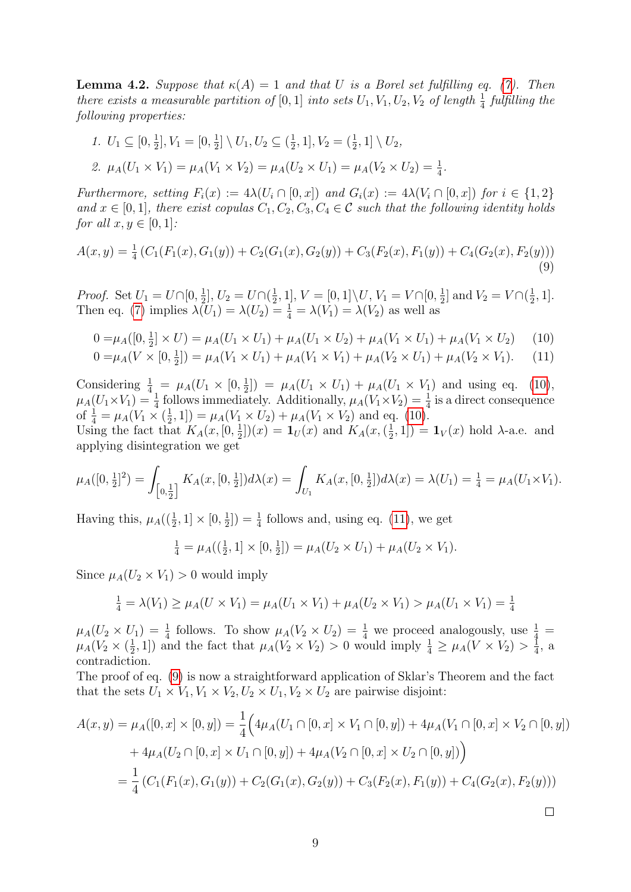<span id="page-8-3"></span>**Lemma 4.2.** Suppose that  $\kappa(A) = 1$  and that U is a Borel set fulfilling eq. [\(7\)](#page-6-0). Then there exists a measurable partition of  $[0,1]$  into sets  $U_1, V_1, U_2, V_2$  of length  $\frac{1}{4}$  fulfilling the following properties:

1.  $U_1 \subseteq [0, \frac{1}{2}]$  $\frac{1}{2}$ ,  $V_1 = [0, \frac{1}{2}]$  $\frac{1}{2}$ ] \  $U_1, U_2 \subseteq (\frac{1}{2})$  $\frac{1}{2}$ , 1],  $V_2 = (\frac{1}{2}, 1] \setminus U_2$ , 2.  $\mu_A(U_1 \times V_1) = \mu_A(V_1 \times V_2) = \mu_A(U_2 \times U_1) = \mu_A(V_2 \times U_2) = \frac{1}{4}$ .

Furthermore, setting  $F_i(x) := 4\lambda(U_i \cap [0, x])$  and  $G_i(x) := 4\lambda(V_i \cap [0, x])$  for  $i \in \{1, 2\}$ and  $x \in [0, 1]$ , there exist copulas  $C_1, C_2, C_3, C_4 \in \mathcal{C}$  such that the following identity holds for all  $x, y \in [0, 1]$ :

$$
A(x,y) = \frac{1}{4} \left( C_1(F_1(x), G_1(y)) + C_2(G_1(x), G_2(y)) + C_3(F_2(x), F_1(y)) + C_4(G_2(x), F_2(y)) \right)
$$
\n(9)

*Proof.* Set  $U_1 = U \cap [0, \frac{1}{2}]$  $\frac{1}{2}$ ,  $U_2 = U \cap (\frac{1}{2})$  $\frac{1}{2}$ , 1],  $V = [0, 1] \setminus U$ ,  $V_1 = V \cap [0, \frac{1}{2}]$  $\frac{1}{2}$  and  $V_2 = V \cap (\frac{1}{2})$  $\frac{1}{2}, 1].$ Then eq. [\(7\)](#page-6-0) implies  $\lambda(U_1) = \lambda(U_2) = \frac{1}{4} = \lambda(V_1) = \lambda(V_2)$  as well as

<span id="page-8-2"></span>
$$
0 = \mu_A([0, \frac{1}{2}] \times U) = \mu_A(U_1 \times U_1) + \mu_A(U_1 \times U_2) + \mu_A(V_1 \times U_1) + \mu_A(V_1 \times U_2)
$$
 (10)

$$
0 = \mu_A(V \times [0, \frac{1}{2}]) = \mu_A(V_1 \times U_1) + \mu_A(V_1 \times V_1) + \mu_A(V_2 \times U_1) + \mu_A(V_2 \times V_1). \tag{11}
$$

Considering  $\frac{1}{4}$  =  $\mu_A(U_1 \times [0, \frac{1}{2})$  $\mu_A(U_1 \times U_1) + \mu_A(U_1 \times V_1)$  and using eq. [\(10\)](#page-8-0),  $\mu_A(U_1 \times V_1) = \frac{1}{4}$  follows immediately. Additionally,  $\mu_A(V_1 \times V_2) = \frac{1}{4}$  is a direct consequence of  $\frac{1}{4} = \mu_A (V_1 \times (\frac{1}{2})$  $(\frac{1}{2}, 1]) = \mu_A(V_1 \times U_2) + \mu_A(V_1 \times V_2)$  and eq. [\(10\)](#page-8-0).

Using the fact that  $K_A(x, [0, \frac{1}{2}$  $(\frac{1}{2}]|(x) = \mathbf{1}_U(x)$  and  $K_A(x, (\frac{1}{2}))$  $(\frac{1}{2}, 1]) = \mathbf{1}_V(x)$  hold  $\lambda$ -a.e. and applying disintegration we get

$$
\mu_A([0,\tfrac{1}{2}]^2) = \int_{\left[0,\tfrac{1}{2}\right]} K_A(x,[0,\tfrac{1}{2}])d\lambda(x) = \int_{U_1} K_A(x,[0,\tfrac{1}{2}])d\lambda(x) = \lambda(U_1) = \tfrac{1}{4} = \mu_A(U_1 \times V_1).
$$

Having this,  $\mu_A((\frac{1}{2}, 1] \times [0, \frac{1}{2})$  $(\frac{1}{2}]) = \frac{1}{4}$  follows and, using eq. [\(11\)](#page-8-1), we get

<span id="page-8-1"></span><span id="page-8-0"></span>
$$
\frac{1}{4} = \mu_A((\frac{1}{2}, 1] \times [0, \frac{1}{2}]) = \mu_A(U_2 \times U_1) + \mu_A(U_2 \times V_1).
$$

Since  $\mu_A(U_2 \times V_1) > 0$  would imply

$$
\frac{1}{4} = \lambda(V_1) \ge \mu_A(U \times V_1) = \mu_A(U_1 \times V_1) + \mu_A(U_2 \times V_1) > \mu_A(U_1 \times V_1) = \frac{1}{4}
$$

 $\mu_A(U_2 \times U_1) = \frac{1}{4}$  follows. To show  $\mu_A(V_2 \times U_2) = \frac{1}{4}$  we proceed analogously, use  $\frac{1}{4}$  $\mu_A(V_2\times (\frac{1}{2}$  $(\frac{1}{2}, 1])$  and the fact that  $\mu_A(V_2 \times V_2) > 0$  would imply  $\frac{1}{4} \geq \mu_A(V \times V_2) > \frac{1}{4}$  $\frac{1}{4}$ , a contradiction.

The proof of eq. [\(9\)](#page-8-2) is now a straightforward application of Sklar's Theorem and the fact that the sets  $U_1 \times V_1$ ,  $V_1 \times V_2$ ,  $U_2 \times U_1$ ,  $V_2 \times U_2$  are pairwise disjoint:

$$
A(x,y) = \mu_A([0,x] \times [0,y]) = \frac{1}{4} \Big( 4\mu_A(U_1 \cap [0,x] \times V_1 \cap [0,y]) + 4\mu_A(V_1 \cap [0,x] \times V_2 \cap [0,y])
$$
  
+  $4\mu_A(U_2 \cap [0,x] \times U_1 \cap [0,y]) + 4\mu_A(V_2 \cap [0,x] \times U_2 \cap [0,y]) \Big)$   
=  $\frac{1}{4} \left( C_1(F_1(x), G_1(y)) + C_2(G_1(x), G_2(y)) + C_3(F_2(x), F_1(y)) + C_4(G_2(x), F_2(y)) \right)$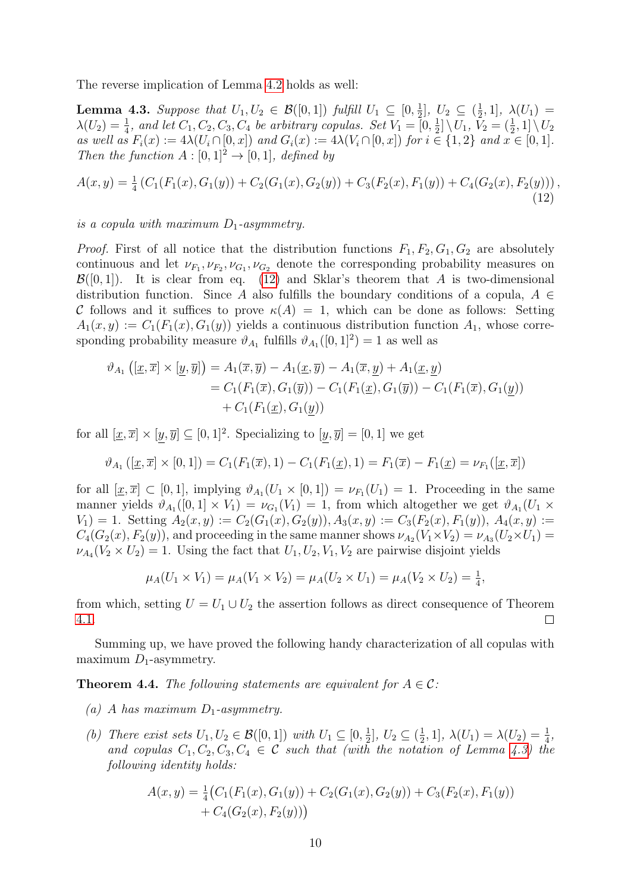The reverse implication of Lemma [4.2](#page-8-3) holds as well:

<span id="page-9-1"></span>**Lemma 4.3.** Suppose that  $U_1, U_2 \in \mathcal{B}([0,1])$  fulfill  $U_1 \subseteq [0, \frac{1}{2}]$  $[\frac{1}{2}], U_2 \subseteq (\frac{1}{2})$  $(\frac{1}{2}, 1], \lambda(U_1) =$  $\lambda(U_2) = \frac{1}{4}$ , and let  $C_1, C_2, C_3, C_4$  be arbitrary copulas. Set  $V_1 = \overline{[0, \frac{1}{2}]}$  $\{\frac{1}{2}]\setminus U_1, \, \tilde{V}_2 = (\frac{1}{2},1] \setminus U_2$ as well as  $F_i(x) := 4\lambda(U_i \cap [0, x])$  and  $G_i(x) := 4\lambda(V_i \cap [0, x])$  for  $i \in \{1, 2\}$  and  $x \in [0, 1]$ . Then the function  $A : [0,1]^2 \rightarrow [0,1]$ , defined by

<span id="page-9-0"></span>
$$
A(x,y) = \frac{1}{4} \left( C_1(F_1(x), G_1(y)) + C_2(G_1(x), G_2(y)) + C_3(F_2(x), F_1(y)) + C_4(G_2(x), F_2(y)) \right),\tag{12}
$$

is a copula with maximum  $D_1$ -asymmetry.

*Proof.* First of all notice that the distribution functions  $F_1, F_2, G_1, G_2$  are absolutely continuous and let  $\nu_{F_1}, \nu_{F_2}, \nu_{G_1}, \nu_{G_2}$  denote the corresponding probability measures on  $\mathcal{B}([0,1])$ . It is clear from eq. [\(12\)](#page-9-0) and Sklar's theorem that A is two-dimensional distribution function. Since A also fulfills the boundary conditions of a copula,  $A \in$ C follows and it suffices to prove  $\kappa(A) = 1$ , which can be done as follows: Setting  $A_1(x, y) := C_1(F_1(x), G_1(y))$  yields a continuous distribution function  $A_1$ , whose corresponding probability measure  $\vartheta_{A_1}$  fulfills  $\vartheta_{A_1}([0,1]^2) = 1$  as well as

$$
\vartheta_{A_1}\left([\underline{x}, \overline{x}] \times [\underline{y}, \overline{y}]\right) = A_1(\overline{x}, \overline{y}) - A_1(\underline{x}, \overline{y}) - A_1(\overline{x}, \underline{y}) + A_1(\underline{x}, \underline{y})
$$
  
\n
$$
= C_1(F_1(\overline{x}), G_1(\overline{y})) - C_1(F_1(\underline{x}), G_1(\overline{y})) - C_1(F_1(\overline{x}), G_1(\underline{y}))
$$
  
\n
$$
+ C_1(F_1(\underline{x}), G_1(y))
$$

for all  $[x,\overline{x}] \times [y,\overline{y}] \subseteq [0,1]^2$ . Specializing to  $[y,\overline{y}] = [0,1]$  we get

$$
\vartheta_{A_1}([\underline{x}, \overline{x}] \times [0, 1]) = C_1(F_1(\overline{x}), 1) - C_1(F_1(\underline{x}), 1) = F_1(\overline{x}) - F_1(\underline{x}) = \nu_{F_1}([\underline{x}, \overline{x}])
$$

for all  $[\underline{x}, \overline{x}] \subset [0, 1]$ , implying  $\vartheta_{A_1}(U_1 \times [0, 1]) = \nu_{F_1}(U_1) = 1$ . Proceeding in the same manner yields  $\vartheta_{A_1}([0,1] \times V_1) = \nu_{G_1}(V_1) = 1$ , from which altogether we get  $\vartheta_{A_1}(U_1 \times$  $V_1$ ) = 1. Setting  $A_2(x,y) := C_2(G_1(x), G_2(y)), A_3(x,y) := C_3(F_2(x), F_1(y)), A_4(x,y) :=$  $C_4(G_2(x), F_2(y))$ , and proceeding in the same manner shows  $\nu_{A_2}(V_1 \times V_2) = \nu_{A_3}(U_2 \times U_1)$  $\nu_{A_4}(V_2 \times U_2) = 1$ . Using the fact that  $U_1, U_2, V_1, V_2$  are pairwise disjoint yields

$$
\mu_A(U_1 \times V_1) = \mu_A(V_1 \times V_2) = \mu_A(U_2 \times U_1) = \mu_A(V_2 \times U_2) = \frac{1}{4},
$$

from which, setting  $U = U_1 \cup U_2$  the assertion follows as direct consequence of Theorem [4.1.](#page-6-1)  $\Box$ 

Summing up, we have proved the following handy characterization of all copulas with maximum  $D_1$ -asymmetry.

<span id="page-9-2"></span>**Theorem 4.4.** The following statements are equivalent for  $A \in \mathcal{C}$ :

- (a) A has maximum  $D_1$ -asymmetry.
- (b) There exist sets  $U_1, U_2 \in \mathcal{B}([0,1])$  with  $U_1 \subseteq [0, \frac{1}{2}]$  $\frac{1}{2}$ ,  $U_2 \subseteq (\frac{1}{2})$  $[\frac{1}{2}, 1], \lambda(U_1) = \lambda(U_2) = \frac{1}{4},$ and copulas  $C_1, C_2, C_3, C_4 \in \mathcal{C}$  such that (with the notation of Lemma [4.3\)](#page-9-1) the following identity holds:

$$
A(x,y) = \frac{1}{4} (C_1(F_1(x), G_1(y)) + C_2(G_1(x), G_2(y)) + C_3(F_2(x), F_1(y)) + C_4(G_2(x), F_2(y)))
$$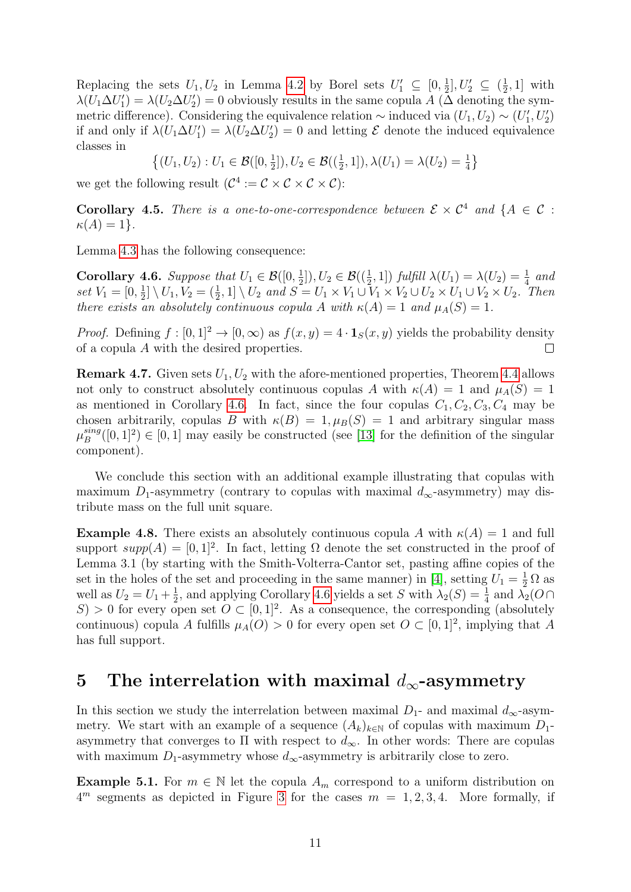Replacing the sets  $U_1, U_2$  in Lemma [4.2](#page-8-3) by Borel sets  $U'_1 \subseteq [0, \frac{1}{2}]$  $\frac{1}{2}$ ,  $U_2' \subseteq (\frac{1}{2})$  $\frac{1}{2}$ , 1] with  $\lambda(U_1\Delta U_1')=\lambda(U_2\Delta U_2')=0$  obviously results in the same copula A ( $\overline{\Delta}$  denoting the symmetric difference). Considering the equivalence relation  $\sim$  induced via  $(U_1, U_2) \sim (U'_1, U'_2)$ if and only if  $\lambda(U_1 \Delta U_1') = \lambda(U_2 \Delta U_2') = 0$  and letting  $\mathcal E$  denote the induced equivalence classes in

> $\{(U_1, U_2) : U_1 \in \mathcal{B}([0, \frac{1}{2}$  $(\frac{1}{2}]), U_2 \in \mathcal{B}((\frac{1}{2}, 1]), \lambda(U_1) = \lambda(U_2) = \frac{1}{4}\}$

we get the following result  $(C^4 := \mathcal{C} \times \mathcal{C} \times \mathcal{C} \times \mathcal{C})$ :

**Corollary 4.5.** There is a one-to-one-correspondence between  $\mathcal{E} \times \mathcal{C}^4$  and  $\{A \in \mathcal{C}$ :  $\kappa(A)=1$ .

Lemma [4.3](#page-9-1) has the following consequence:

<span id="page-10-0"></span>Corollary 4.6. Suppose that  $U_1 \in \mathcal{B}([0, \frac{1}{2}])$  $\frac{1}{2}$ ]),  $U_2 \in \mathcal{B}((\frac{1}{2}, 1])$  fulfill  $\lambda(U_1) = \lambda(U_2) = \frac{1}{4}$  and set  $V_1 = [0, \frac{1}{2}]$  $\frac{1}{2} \setminus U_1, V_2 = (\frac{1}{2}, 1] \setminus U_2$  and  $S = U_1 \times V_1 \cup V_1 \times V_2 \cup U_2 \times U_1 \cup V_2 \times U_2$ . Then there exists an absolutely continuous copula A with  $\kappa(A) = 1$  and  $\mu_A(S) = 1$ .

*Proof.* Defining  $f : [0, 1]^2 \to [0, \infty)$  as  $f(x, y) = 4 \cdot \mathbf{1}_S(x, y)$  yields the probability density of a copula A with the desired properties.  $\Box$ 

**Remark 4.7.** Given sets  $U_1, U_2$  with the afore-mentioned properties, Theorem [4.4](#page-9-2) allows not only to construct absolutely continuous copulas A with  $\kappa(A) = 1$  and  $\mu_A(S) = 1$ as mentioned in Corollary [4.6.](#page-10-0) In fact, since the four copulas  $C_1, C_2, C_3, C_4$  may be chosen arbitrarily, copulas B with  $\kappa(B) = 1, \mu_B(S) = 1$  and arbitrary singular mass  $\mu_B^{sing}$  $B_B^{sing}([0,1]^2) \in [0,1]$  may easily be constructed (see [\[13\]](#page-16-9) for the definition of the singular component).

We conclude this section with an additional example illustrating that copulas with maximum D<sub>1</sub>-asymmetry (contrary to copulas with maximal  $d_{\infty}$ -asymmetry) may distribute mass on the full unit square.

**Example 4.8.** There exists an absolutely continuous copula A with  $\kappa(A) = 1$  and full support  $supp(A) = [0,1]^2$ . In fact, letting  $\Omega$  denote the set constructed in the proof of Lemma 3.1 (by starting with the Smith-Volterra-Cantor set, pasting affine copies of the set in the holes of the set and proceeding in the same manner) in [\[4\]](#page-16-12), setting  $U_1 = \frac{1}{2} \Omega$  as well as  $U_2 = U_1 + \frac{1}{2}$  $\frac{1}{2}$ , and applying Corollary [4.6](#page-10-0) yields a set S with  $\lambda_2(S) = \frac{1}{4}$  and  $\lambda_2(O \cap S)$ S) > 0 for every open set  $O \subset [0,1]^2$ . As a consequence, the corresponding (absolutely continuous) copula A fulfills  $\mu_A(O) > 0$  for every open set  $O \subset [0,1]^2$ , implying that A has full support.

### 5 The interrelation with maximal  $d_{\infty}$ -asymmetry

In this section we study the interrelation between maximal  $D_1$ - and maximal  $d_{\infty}$ -asymmetry. We start with an example of a sequence  $(A_k)_{k\in\mathbb{N}}$  of copulas with maximum  $D_1$ asymmetry that converges to  $\Pi$  with respect to  $d_{\infty}$ . In other words: There are copulas with maximum  $D_1$ -asymmetry whose  $d_{\infty}$ -asymmetry is arbitrarily close to zero.

<span id="page-10-1"></span>**Example 5.1.** For  $m \in \mathbb{N}$  let the copula  $A_m$  correspond to a uniform distribution on  $4^m$  segments as depicted in Figure [3](#page-12-0) for the cases  $m = 1, 2, 3, 4$ . More formally, if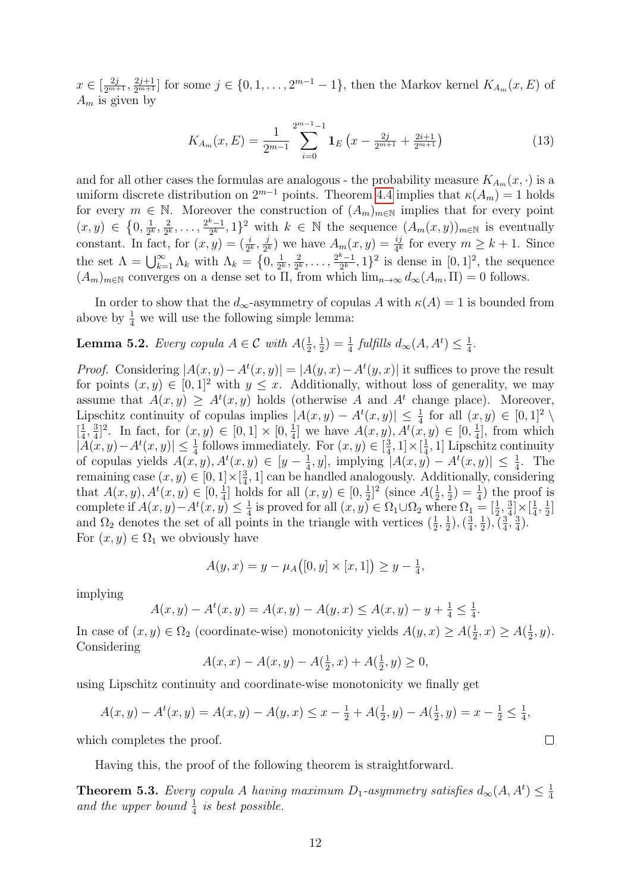$x \in \left[\frac{2j}{2^{m+1}}, \frac{2j+1}{2^{m+1}}\right]$  for some  $j \in \{0, 1, ..., 2^{m-1} - 1\}$ , then the Markov kernel  $K_{A_m}(x, E)$  of  $A_m$  is given by

$$
K_{A_m}(x,E) = \frac{1}{2^{m-1}} \sum_{i=0}^{2^{m-1}-1} \mathbf{1}_E\left(x - \frac{2j}{2^{m+1}} + \frac{2i+1}{2^{m+1}}\right)
$$
(13)

and for all other cases the formulas are analogous - the probability measure  $K_{A_m}(x, \cdot)$  is a uniform discrete distribution on  $2^{m-1}$  points. Theorem [4.4](#page-9-2) implies that  $\kappa(A_m) = 1$  holds for every  $m \in \mathbb{N}$ . Moreover the construction of  $(A_m)_{m\in\mathbb{N}}$  implies that for every point  $(x,y) \in \{0,\frac{1}{2^k},\frac{2}{2^k},\ldots,\frac{2^k-1}{2^k},1\}^2$  with  $k \in \mathbb{N}$  the sequence  $(A_m(x,y))_{m\in\mathbb{N}}$  is eventually constant. In fact, for  $(x, y) = (\frac{i}{2^k}, \frac{j}{2^k})$  $\frac{j}{2^k}$ ) we have  $A_m(x, y) = \frac{ij}{4^k}$  for every  $m \geq k+1$ . Since the set  $\Lambda = \bigcup_{k=1}^{\infty} \Lambda_k$  with  $\Lambda_k = \{0, \frac{1}{2^k}\}$  $\frac{1}{2^k}, \frac{2}{2^k}$  $\frac{2}{2^k}, \ldots, \frac{2^k-1}{2^k}$  $\frac{k-1}{2^k}$ , 1}<sup>2</sup> is dense in [0, 1]<sup>2</sup>, the sequence  $(A_m)_{m\in\mathbb{N}}$  converges on a dense set to  $\Pi$ , from which  $\lim_{n\to\infty}d_{\infty}(A_m,\Pi)=0$  follows.

In order to show that the  $d_{\infty}$ -asymmetry of copulas A with  $\kappa(A) = 1$  is bounded from above by  $\frac{1}{4}$  we will use the following simple lemma:

<span id="page-11-0"></span>**Lemma 5.2.** Every copula  $A \in \mathcal{C}$  with  $A(\frac{1}{2})$  $\frac{1}{2}, \frac{1}{2}$  $\frac{1}{2}$ ) =  $\frac{1}{4}$  fulfills  $d_{\infty}(A, A^t) \leq \frac{1}{4}$  $\frac{1}{4}$ .

*Proof.* Considering  $|A(x,y)-A^t(x,y)| = |A(y,x)-A^t(y,x)|$  it suffices to prove the result for points  $(x, y) \in [0, 1]^2$  with  $y \leq x$ . Additionally, without loss of generality, we may assume that  $A(x, y) \geq A^t(x, y)$  holds (otherwise A and  $A^t$  change place). Moreover, Lipschitz continuity of copulas implies  $|A(x,y) - A^t(x,y)| \leq \frac{1}{4}$  for all  $(x,y) \in [0,1]^2 \setminus \mathbb{R}$  $\left[\frac{1}{4}\right]$  $\frac{1}{4}, \frac{3}{4}$  $\frac{3}{4}]^2$ . In fact, for  $(x, y) \in [0, 1] \times [0, \frac{1}{4}]$  $\frac{1}{4}$ ] we have  $A(x, y), A^t(x, y) \in [0, \frac{1}{4}]$  $\frac{1}{4}$ , from which  $|\hat{A}(x,y)-A^{t}(x,y)| \leq \frac{1}{4}$  follows immediately. For  $(x, y) \in \left[\frac{3}{4}\right]$  $\frac{3}{4}, 1] \times [\frac{1}{4}]$  $\frac{1}{4}$ , 1] Lipschitz continuity of copulas yields  $A(x, y), A^t(x, y) \in [y - \frac{1}{4}]$  $\frac{1}{4}$ , y], implying  $|A(x, y) - A^{t}(x, y)| \leq \frac{1}{4}$ . The remaining case  $(x, y) \in [0, 1] \times [\frac{3}{4}]$  $\frac{3}{4}$ , 1] can be handled analogously. Additionally, considering that  $A(x, y), A^t(x, y) \in [0, \frac{1}{4}]$  holds for all  $(x, y) \in [0, \frac{1}{2}]^2$  (since  $A(\frac{1}{2}, \frac{1}{2}) = \frac{1}{4}$ ) the proof is complete if  $A(x,y)-A^t(x,y) \leq \frac{1}{4}$  is proved for all  $(x,y) \in \Omega_1 \cup \Omega_2$  where  $\Omega_1 =$  $\frac{1}{4}$  is proved for all  $(x, y) \in \Omega_1 \cup \Omega_2$  where  $\Omega_1 = \begin{bmatrix} \frac{1}{2}, \frac{3}{4} \end{bmatrix}$  $\frac{3}{4}$   $\times$   $\left[\frac{1}{4}\right]$  $\frac{1}{4}, \frac{1}{2}$  $\frac{1}{2}$ ] and  $\Omega_2$  denotes the set of all points in the triangle with vertices  $(\frac{1}{2}, \frac{1}{2})$  $(\frac{1}{2}), (\frac{3}{4})$  $\frac{3}{4}, \frac{1}{2}$  $(\frac{1}{2}), (\frac{3}{4})$  $\frac{3}{4}$ ,  $\frac{3}{4}$  $\frac{3}{4}$ . For  $(x, y) \in \Omega_1$  we obviously have

$$
A(y, x) = y - \mu_A([0, y] \times [x, 1]) \ge y - \frac{1}{4},
$$

implying

$$
A(x, y) - At(x, y) = A(x, y) - A(y, x) \le A(x, y) - y + \frac{1}{4} \le \frac{1}{4}.
$$

In case of  $(x, y) \in \Omega_2$  (coordinate-wise) monotonicity yields  $A(y, x) \ge A(\frac{1}{2})$  $(\frac{1}{2}, x) \ge A(\frac{1}{2})$  $\frac{1}{2}, y$ ). Considering

$$
A(x, x) - A(x, y) - A(\frac{1}{2}, x) + A(\frac{1}{2}, y) \ge 0,
$$

using Lipschitz continuity and coordinate-wise monotonicity we finally get

$$
A(x,y) - At(x,y) = A(x,y) - A(y,x) \le x - \frac{1}{2} + A(\frac{1}{2},y) - A(\frac{1}{2},y) = x - \frac{1}{2} \le \frac{1}{4},
$$

which completes the proof.

Having this, the proof of the following theorem is straightforward.

<span id="page-11-1"></span>**Theorem 5.3.** Every copula A having maximum  $D_1$ -asymmetry satisfies  $d_{\infty}(A, A^t) \leq \frac{1}{4}$ 4 and the upper bound  $\frac{1}{4}$  is best possible.

 $\Box$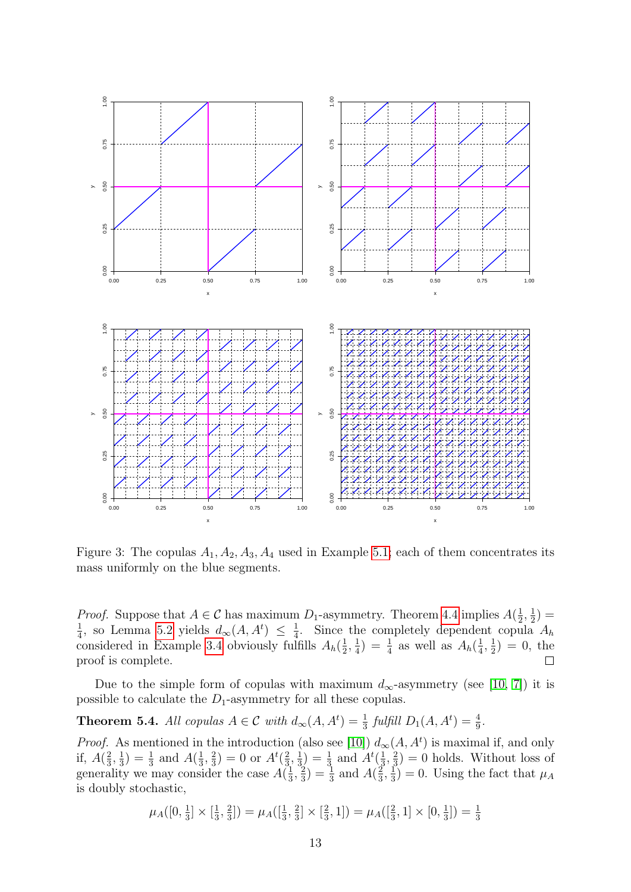

<span id="page-12-0"></span>Figure 3: The copulas  $A_1, A_2, A_3, A_4$  used in Example [5.1;](#page-10-1) each of them concentrates its mass uniformly on the blue segments.

*Proof.* Suppose that  $A \in \mathcal{C}$  has maximum  $D_1$ -asymmetry. Theorem [4.4](#page-9-2) implies  $A(\frac{1}{2})$  $\frac{1}{2}, \frac{1}{2}$  $(\frac{1}{2}) =$ 1  $\frac{1}{4}$ , so Lemma [5.2](#page-11-0) yields  $d_{\infty}(A, A^t) \leq \frac{1}{4}$  $\frac{1}{4}$ . Since the completely dependent copula  $A_h$ considered in Example [3.4](#page-5-0) obviously fulfills  $A_h(\frac{1}{2})$  $\frac{1}{2}, \frac{1}{4}$  $\frac{1}{4}$ ) =  $\frac{1}{4}$  as well as  $A_h(\frac{1}{4})$  $\frac{1}{4}, \frac{1}{2}$  $(\frac{1}{2}) = 0$ , the proof is complete.  $\Box$ 

Due to the simple form of copulas with maximum  $d_{\infty}$ -asymmetry (see [\[10,](#page-16-0) [7\]](#page-16-1)) it is possible to calculate the  $D_1$ -asymmetry for all these copulas.

<span id="page-12-1"></span>**Theorem 5.4.** All copulas  $A \in \mathcal{C}$  with  $d_{\infty}(A, A^t) = \frac{1}{3}$  fulfill  $D_1(A, A^t) = \frac{4}{9}$ .

*Proof.* As mentioned in the introduction (also see [\[10\]](#page-16-0))  $d_{\infty}(A, A^t)$  is maximal if, and only if,  $A(\frac{2}{3})$  $\frac{2}{3}, \frac{1}{3}$  $(\frac{1}{3}) = \frac{1}{3}$  and  $A(\frac{1}{3})$  $\frac{1}{3}, \frac{2}{3}$  $\frac{2}{3}$ ) = 0 or  $A^t(\frac{2}{3})$  $\frac{2}{3}, \frac{1}{3}$  $\frac{1}{3}$ ) =  $\frac{1}{3}$  and  $A^{t}(\frac{1}{3})$  $\frac{1}{3}, \frac{2}{3}$  $(\frac{2}{3}) = 0$  holds. Without loss of generality we may consider the case  $A(\frac{1}{3})$  $\frac{1}{3}, \frac{2}{3}$  $\left(\frac{2}{3}\right) = \frac{1}{3}$  and  $A(\frac{2}{3})$  $\frac{2}{3}, \frac{1}{3}$  $(\frac{1}{3}) = 0$ . Using the fact that  $\mu_A$ is doubly stochastic,

$$
\mu_A([0, \frac{1}{3}] \times [\frac{1}{3}, \frac{2}{3}]) = \mu_A([\frac{1}{3}, \frac{2}{3}] \times [\frac{2}{3}, 1]) = \mu_A([\frac{2}{3}, 1] \times [0, \frac{1}{3}]) = \frac{1}{3}
$$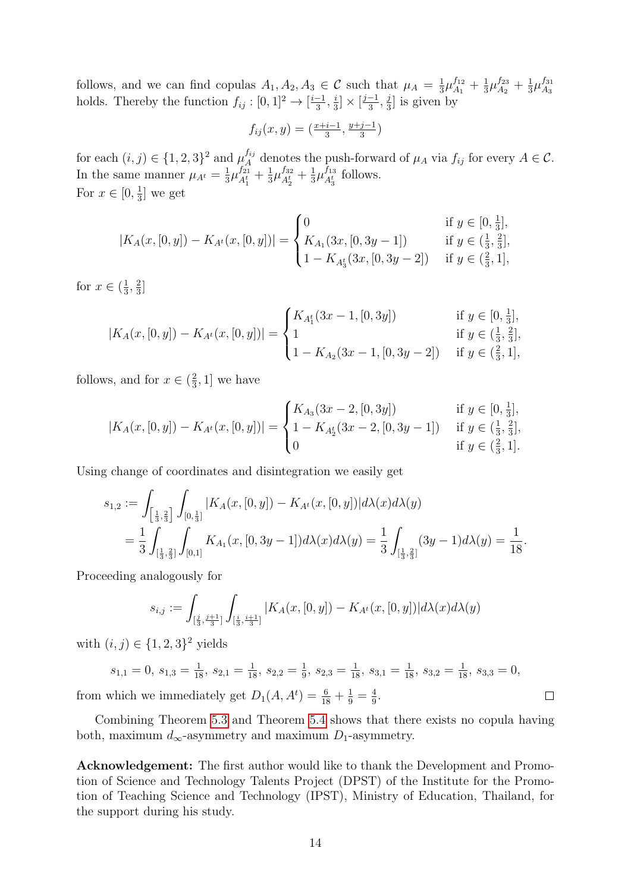follows, and we can find copulas  $A_1, A_2, A_3 \in \mathcal{C}$  such that  $\mu_A = \frac{1}{3}$  $\frac{1}{3}\mu_{A_1}^{f_{12}}+\frac{1}{3}$  $\frac{1}{3}\mu_{A_2}^{f_{23}}+\frac{1}{3}$  $\frac{1}{3}\mu_{A_3}^{f_{31}}$  $A_3$ holds. Thereby the function  $f_{ij} : [0,1]^2 \to \left[\frac{i-1}{3}\right]$  $\frac{-1}{3}, \frac{i}{3}$  $\frac{i}{3} \times \left[\frac{j-1}{3}\right]$  $\frac{-1}{3}, \frac{j}{3}$  $\frac{1}{3}$  is given by

$$
f_{ij}(x,y) = \left(\frac{x+i-1}{3}, \frac{y+j-1}{3}\right)
$$

for each  $(i, j) \in \{1, 2, 3\}^2$  and  $\mu_A^{f_{ij}}$  denotes the push-forward of  $\mu_A$  via  $f_{ij}$  for every  $A \in \mathcal{C}$ . In the same manner  $\mu_{A^t} = \frac{1}{3}$  $\frac{1}{3}\mu_{A_1^t}^{f_{21}}$  $\frac{f_{21}}{A_1^t} + \frac{1}{3}$  $\frac{1}{3}\mu_{A_2^t}^{f_{32}}$  $\frac{f_{32}}{A_2^t}+\frac{1}{3}$  $\frac{1}{3}\mu_{A_3^t}^{f_{13}}$  $A_3^{J_{13}}$  follows. For  $x \in [0, \frac{1}{3}]$  $\frac{1}{3}$  we get

$$
|K_A(x,[0,y])-K_{A^t}(x,[0,y])| = \begin{cases} 0 & \text{if } y \in [0, \frac{1}{3}],\\ K_{A_1}(3x,[0,3y-1]) & \text{if } y \in (\frac{1}{3}, \frac{2}{3}],\\ 1-K_{A_3^t}(3x,[0,3y-2]) & \text{if } y \in (\frac{2}{3}, 1], \end{cases}
$$

for  $x \in (\frac{1}{3})$  $\frac{1}{3}, \frac{2}{3}$  $rac{2}{3}$ ]

$$
|K_A(x,[0,y]) - K_{A^t}(x,[0,y])| = \begin{cases} K_{A_1^t}(3x-1,[0,3y]) & \text{if } y \in [0,\frac{1}{3}],\\ 1 & \text{if } y \in (\frac{1}{3},\frac{2}{3}],\\ 1 - K_{A_2}(3x-1,[0,3y-2]) & \text{if } y \in (\frac{2}{3},1], \end{cases}
$$

follows, and for  $x \in (\frac{2}{3})$  $\frac{2}{3}$ , 1] we have

$$
|K_A(x,[0,y])-K_{A^t}(x,[0,y])| = \begin{cases} K_{A_3}(3x-2,[0,3y]) & \text{if } y \in [0,\frac{1}{3}],\\ 1-K_{A_2^t}(3x-2,[0,3y-1]) & \text{if } y \in (\frac{1}{3},\frac{2}{3}],\\ 0 & \text{if } y \in (\frac{2}{3},1]. \end{cases}
$$

Using change of coordinates and disintegration we easily get

$$
s_{1,2} := \int_{\left[\frac{1}{3},\frac{2}{3}\right]} \int_{[0,\frac{1}{3}]} |K_A(x,[0,y]) - K_{A^t}(x,[0,y])| d\lambda(x) d\lambda(y)
$$
  
= 
$$
\frac{1}{3} \int_{\left[\frac{1}{3},\frac{2}{3}\right]} \int_{[0,1]} K_{A_1}(x,[0,3y-1]) d\lambda(x) d\lambda(y) = \frac{1}{3} \int_{\left[\frac{1}{3},\frac{2}{3}\right]} (3y-1) d\lambda(y) = \frac{1}{18}.
$$

Proceeding analogously for

$$
s_{i,j} := \int_{[\frac{j}{3},\frac{j+1}{3}]} \int_{[\frac{i}{3},\frac{i+1}{3}]} |K_A(x,[0,y]) - K_{A^t}(x,[0,y])| d\lambda(x) d\lambda(y)
$$

with  $(i, j) \in \{1, 2, 3\}^2$  yields

$$
s_{1,1} = 0
$$
,  $s_{1,3} = \frac{1}{18}$ ,  $s_{2,1} = \frac{1}{18}$ ,  $s_{2,2} = \frac{1}{9}$ ,  $s_{2,3} = \frac{1}{18}$ ,  $s_{3,1} = \frac{1}{18}$ ,  $s_{3,2} = \frac{1}{18}$ ,  $s_{3,3} = 0$ ,  
which we immediately get  $D_1(A, A^t) = \frac{6}{18} + \frac{1}{9} = \frac{4}{9}$ .

from which we immediately get  $D_1(A, A^t) = \frac{6}{18} + \frac{1}{9} = \frac{4}{9}$  $\frac{4}{9}$ .

Combining Theorem [5.3](#page-11-1) and Theorem [5.4](#page-12-1) shows that there exists no copula having both, maximum  $d_{\infty}$ -asymmetry and maximum  $D_1$ -asymmetry.

Acknowledgement: The first author would like to thank the Development and Promotion of Science and Technology Talents Project (DPST) of the Institute for the Promotion of Teaching Science and Technology (IPST), Ministry of Education, Thailand, for the support during his study.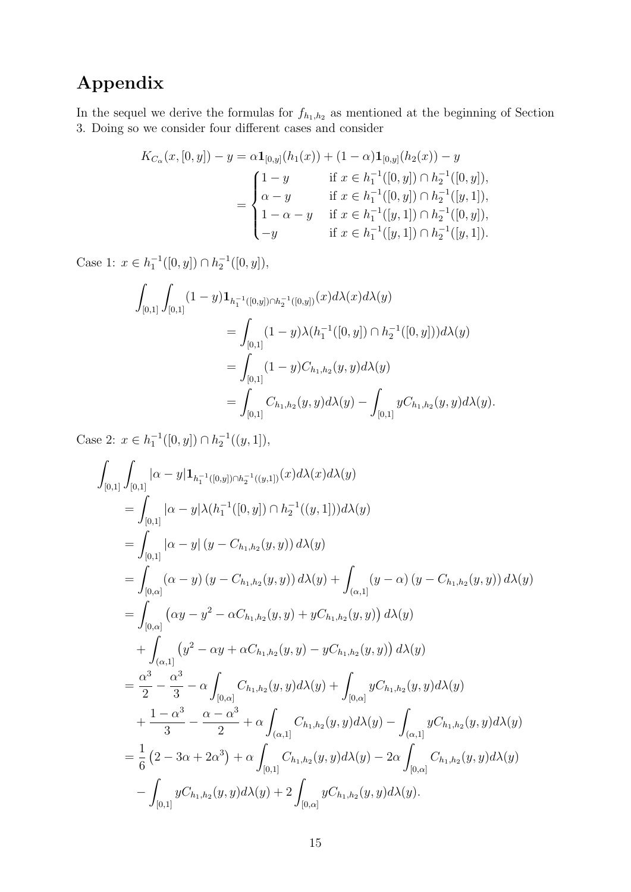# Appendix

In the sequel we derive the formulas for  $f_{h_1,h_2}$  as mentioned at the beginning of Section 3. Doing so we consider four different cases and consider

$$
K_{C_{\alpha}}(x,[0,y]) - y = \alpha \mathbf{1}_{[0,y]}(h_1(x)) + (1-\alpha)\mathbf{1}_{[0,y]}(h_2(x)) - y
$$
  

$$
= \begin{cases} 1-y & \text{if } x \in h_1^{-1}([0,y]) \cap h_2^{-1}([0,y]), \\ \alpha - y & \text{if } x \in h_1^{-1}([0,y]) \cap h_2^{-1}([y,1]), \\ 1-\alpha - y & \text{if } x \in h_1^{-1}([y,1]) \cap h_2^{-1}([0,y]), \\ -y & \text{if } x \in h_1^{-1}([y,1]) \cap h_2^{-1}([y,1]). \end{cases}
$$

Case 1:  $x \in h_1^{-1}([0, y]) \cap h_2^{-1}([0, y]),$ 

$$
\int_{[0,1]} \int_{[0,1]} (1-y) \mathbf{1}_{h_1^{-1}([0,y]) \cap h_2^{-1}([0,y])} (x) d\lambda(x) d\lambda(y)
$$
\n
$$
= \int_{[0,1]} (1-y) \lambda (h_1^{-1}([0,y]) \cap h_2^{-1}([0,y])) d\lambda(y)
$$
\n
$$
= \int_{[0,1]} (1-y) C_{h_1,h_2}(y,y) d\lambda(y)
$$
\n
$$
= \int_{[0,1]} C_{h_1,h_2}(y,y) d\lambda(y) - \int_{[0,1]} y C_{h_1,h_2}(y,y) d\lambda(y).
$$

Case 2:  $x \in h_1^{-1}([0, y]) \cap h_2^{-1}((y, 1]),$ 

$$
\int_{[0,1]} \int_{[0,1]} |\alpha - y| \mathbf{1}_{h_1^{-1}([0,y]) \cap h_2^{-1}((y,1])} (x) d\lambda(x) d\lambda(y) \n= \int_{[0,1]} |\alpha - y| \lambda(h_1^{-1}([0,y]) \cap h_2^{-1}((y,1])) d\lambda(y) \n= \int_{[0,1]} |\alpha - y| (y - C_{h_1,h_2}(y,y)) d\lambda(y) \n= \int_{[0,\alpha]} (\alpha - y) (y - C_{h_1,h_2}(y,y)) d\lambda(y) + \int_{(\alpha,1]} (y - \alpha) (y - C_{h_1,h_2}(y,y)) d\lambda(y) \n= \int_{[0,\alpha]} (\alpha y - y^2 - \alpha C_{h_1,h_2}(y,y) + y C_{h_1,h_2}(y,y)) d\lambda(y) \n+ \int_{(\alpha,1]} (y^2 - \alpha y + \alpha C_{h_1,h_2}(y,y) - y C_{h_1,h_2}(y,y)) d\lambda(y) \n= \frac{\alpha^3}{2} - \frac{\alpha^3}{3} - \alpha \int_{[0,\alpha]} C_{h_1,h_2}(y,y) d\lambda(y) + \int_{[0,\alpha]} y C_{h_1,h_2}(y,y) d\lambda(y) \n+ \frac{1 - \alpha^3}{3} - \frac{\alpha - \alpha^3}{2} + \alpha \int_{(\alpha,1]} C_{h_1,h_2}(y,y) d\lambda(y) - \int_{(\alpha,1]} y C_{h_1,h_2}(y,y) d\lambda(y) \n= \frac{1}{6} (2 - 3\alpha + 2\alpha^3) + \alpha \int_{[0,1]} C_{h_1,h_2}(y,y) d\lambda(y) - 2\alpha \int_{[0,\alpha]} C_{h_1,h_2}(y,y) d\lambda(y) \n- \int_{[0,1]} y C_{h_1,h_2}(y,y) d\lambda(y) + 2 \int_{[0,\alpha]} y C_{h_1,h_2}(y,y) d\lambda(y).
$$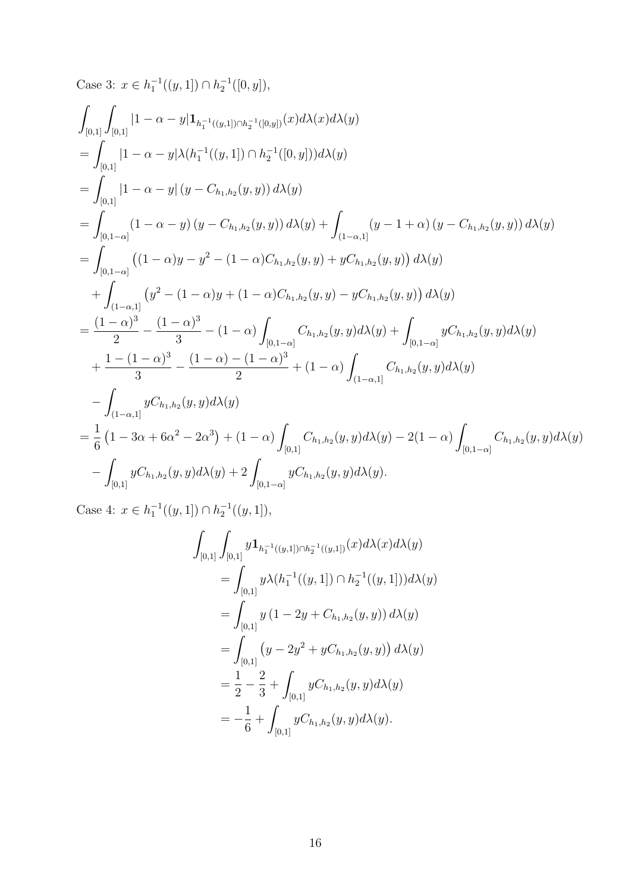Case 3:  $x \in h_1^{-1}((y, 1]) \cap h_2^{-1}([0, y]),$ 

$$
\begin{split}\n&\int_{[0,1]}\int_{[0,1]}|1-\alpha-y|\mathbf{1}_{h_{1}^{-1}((y,1])\cap h_{2}^{-1}([0,y])}(x)d\lambda(x)d\lambda(y) \\
&= \int_{[0,1]}|1-\alpha-y|\lambda(h_{1}^{-1}((y,1])\cap h_{2}^{-1}([0,y]))d\lambda(y) \\
&= \int_{[0,1]}|1-\alpha-y|\left(y-C_{h_{1},h_{2}}(y,y)\right)d\lambda(y) \\
&= \int_{[0,1-\alpha]}(1-\alpha-y)\left(y-C_{h_{1},h_{2}}(y,y)\right)d\lambda(y) + \int_{(1-\alpha,1]}(y-1+\alpha)\left(y-C_{h_{1},h_{2}}(y,y)\right)d\lambda(y) \\
&= \int_{[0,1-\alpha]}((1-\alpha)y-y^{2}-(1-\alpha)C_{h_{1},h_{2}}(y,y)+yC_{h_{1},h_{2}}(y,y))d\lambda(y) \\
&+ \int_{(1-\alpha,1]}(y^{2}-(1-\alpha)y+(1-\alpha)C_{h_{1},h_{2}}(y,y)-yC_{h_{1},h_{2}}(y,y))d\lambda(y) \\
&= \frac{(1-\alpha)^{3}}{2}-\frac{(1-\alpha)^{3}}{3}-(1-\alpha)\int_{[0,1-\alpha]}C_{h_{1},h_{2}}(y,y)d\lambda(y)+\int_{[0,1-\alpha]}yC_{h_{1},h_{2}}(y,y)d\lambda(y) \\
&+ \frac{1-(1-\alpha)^{3}}{3}-\frac{(1-\alpha)-(1-\alpha)^{3}}{2}+(1-\alpha)\int_{(1-\alpha,1]}C_{h_{1},h_{2}}(y,y)d\lambda(y) \\
&- \int_{(1-\alpha,1]}yC_{h_{1},h_{2}}(y,y)d\lambda(y) \\
&= \frac{1}{6}\left(1-3\alpha+6\alpha^{2}-2\alpha^{3}\right)+(1-\alpha)\int_{[0,1-\alpha]}C_{h_{1},h_{2}}(y,y)d\lambda(y)-2(1-\alpha)\int_{[0,1-\alpha]}C_{h_{1},h_{2}}(y,y)d\lambda(y) \\
&- \int_{[0,1]}yC_{h_{1},h_{2}}(y,y)d\lambda(y)+2\int_{[0,1-\alpha]}yC_{h_{1},h_{2}}(y,y)d\lambda(y).\n\end{split}
$$

Case 4:  $x \in h_1^{-1}((y, 1]) \cap h_2^{-1}((y, 1]),$ 

$$
\int_{[0,1]} \int_{[0,1]} y \mathbf{1}_{h_1^{-1}((y,1]) \cap h_2^{-1}((y,1])} (x) d\lambda(x) d\lambda(y)
$$
\n
$$
= \int_{[0,1]} y \lambda (h_1^{-1}((y,1]) \cap h_2^{-1}((y,1])) d\lambda(y)
$$
\n
$$
= \int_{[0,1]} y (1 - 2y + C_{h_1,h_2}(y,y)) d\lambda(y)
$$
\n
$$
= \int_{[0,1]} (y - 2y^2 + y C_{h_1,h_2}(y,y)) d\lambda(y)
$$
\n
$$
= \frac{1}{2} - \frac{2}{3} + \int_{[0,1]} y C_{h_1,h_2}(y,y) d\lambda(y)
$$
\n
$$
= -\frac{1}{6} + \int_{[0,1]} y C_{h_1,h_2}(y,y) d\lambda(y).
$$